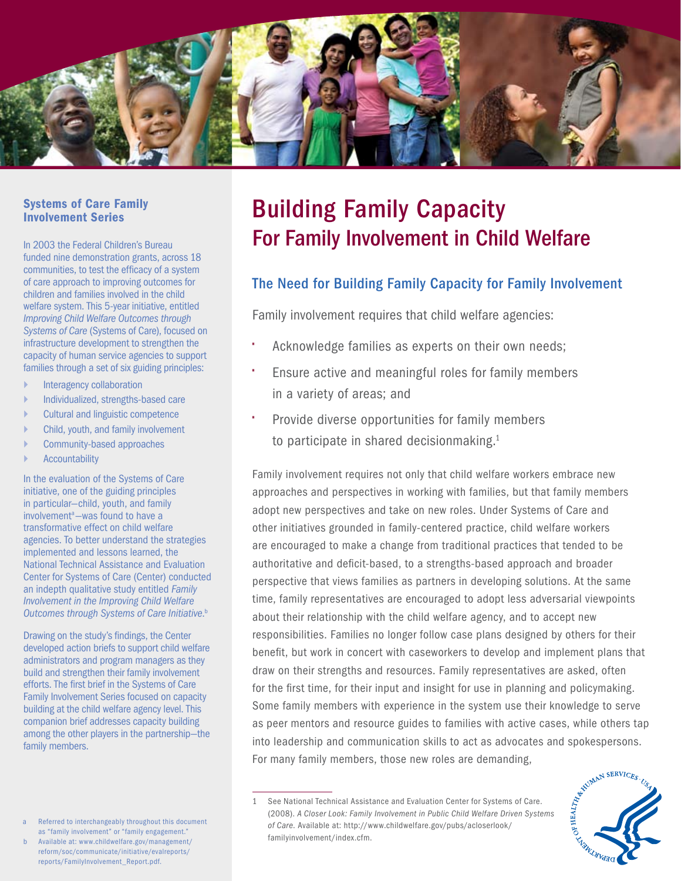

#### Systems of Care Family Involvement Series

In 2003 the Federal Children's Bureau funded nine demonstration grants, across 18 communities, to test the efficacy of a system of care approach to improving outcomes for children and families involved in the child welfare system. This 5-year initiative, entitled *Improving Child Welfare Outcomes through Systems of Care* (Systems of Care), focused on infrastructure development to strengthen the capacity of human service agencies to support families through a set of six guiding principles:

- Interagency collaboration
- ` Individualized, strengths-based care
- ` Cultural and linguistic competence
- ` Child, youth, and family involvement
- ` Community-based approaches
- **Accountability**

In the evaluation of the Systems of Care initiative, one of the guiding principles in particular—child, youth, and family involvement<sup>a</sup>-was found to have a transformative effect on child welfare agencies. To better understand the strategies implemented and lessons learned, the National Technical Assistance and Evaluation Center for Systems of Care (Center) conducted an indepth qualitative study entitled *Family Involvement in the Improving Child Welfare Outcomes through Systems of Care Initiative*. b

Drawing on the study's findings, the Center developed action briefs to support child welfare administrators and program managers as they build and strengthen their family involvement efforts. The first brief in the Systems of Care Family Involvement Series focused on capacity building at the child welfare agency level. This companion brief addresses capacity building among the other players in the partnership—the family members.

b Available at: [www.childwelfare.gov/management/](www.childwelfare.gov/management/reform/soc/communicate/initiative/evalreports/reports/FamilyInvolvement_Report.pdf) [reform/soc/communicate/initiative/evalreports/](www.childwelfare.gov/management/reform/soc/communicate/initiative/evalreports/reports/FamilyInvolvement_Report.pdf) [reports/FamilyInvolvement\\_Report.pdf.](www.childwelfare.gov/management/reform/soc/communicate/initiative/evalreports/reports/FamilyInvolvement_Report.pdf)

# Building Family Capacity For Family Involvement in Child Welfare

## The Need for Building Family Capacity for Family Involvement

Family involvement requires that child welfare agencies:

- Acknowledge families as experts on their own needs;
- Ensure active and meaningful roles for family members in a variety of areas; and
- Provide diverse opportunities for family members to participate in shared decisionmaking. $1$

Family involvement requires not only that child welfare workers embrace new approaches and perspectives in working with families, but that family members adopt new perspectives and take on new roles. Under Systems of Care and other initiatives grounded in family-centered practice, child welfare workers are encouraged to make a change from traditional practices that tended to be authoritative and deficit-based, to a strengths-based approach and broader perspective that views families as partners in developing solutions. At the same time, family representatives are encouraged to adopt less adversarial viewpoints about their relationship with the child welfare agency, and to accept new responsibilities. Families no longer follow case plans designed by others for their benefit, but work in concert with caseworkers to develop and implement plans that draw on their strengths and resources. Family representatives are asked, often for the first time, for their input and insight for use in planning and policymaking. Some family members with experience in the system use their knowledge to serve as peer mentors and resource guides to families with active cases, while others tap For many family members, those new roles are demanding,

into leadership and communication skills to act as advocates and spokespersons.<br>For many family members, those new roles are demanding,<br> $\frac{1}{1}$  See National Technical Assistance and Evaluation Center for Systems of Carc 1 See National Technical Assistance and Evaluation Center for Systems of Care. (2008). *A Closer Look: Family Involvement in Public Child Welfare Driven Systems of Care*. Available at: [http://www.childwelfare.gov/pubs/acloserlook/](http://www.childwelfare.gov/pubs/acloserlook/familyinvolvement/index.cfm) [familyinvolvement/index.cfm.](http://www.childwelfare.gov/pubs/acloserlook/familyinvolvement/index.cfm)



Referred to interchangeably throughout this document as "family involvement" or "family engagement."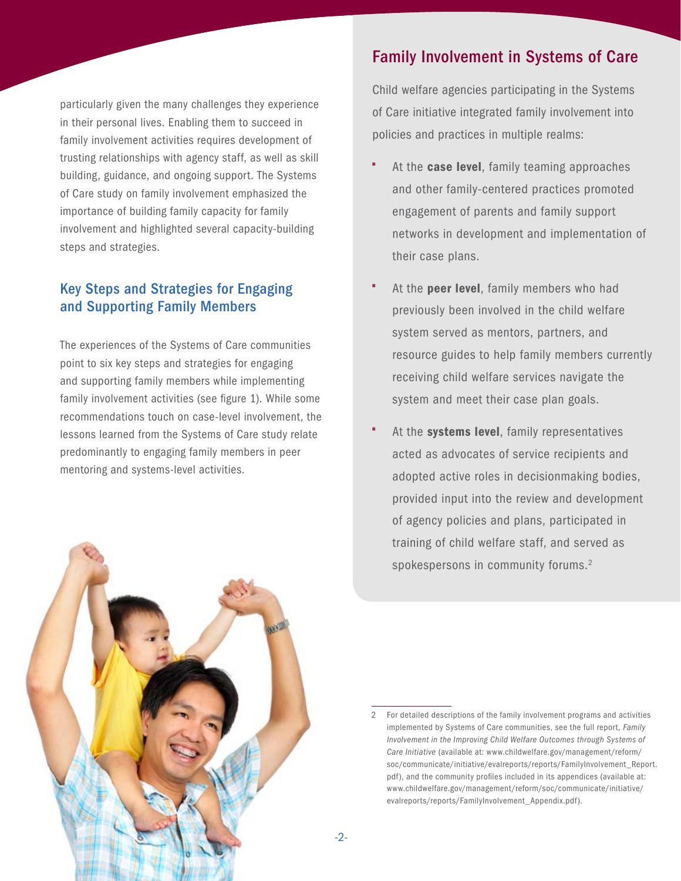particularly given the many challenges they experience in their personal lives. Enabling them to succeed in family involvement activities requires development of trusting relationships with agency staff, as well as skill building, guidance, and ongoing support. The Systems of Care study on family involvement emphasized the importance of building family capacity for family involvement and highlighted several capacity-building steps and strategies.

## Key Steps and Strategies for Engaging and Supporting Family Members

The experiences of the Systems of Care communities point to six key steps and strategies for engaging and supporting family members while implementing family involvement activities (see figure 1). While some recommendations touch on case-level involvement, the lessons learned from the Systems of Care study relate predominantly to engaging family members in peer mentoring and systems-level activities.

## Family Involvement in Systems of Care

Child welfare agencies participating in the Systems of Care initiative integrated family involvement into policies and practices in multiple realms:

- At the **case level**, family teaming approaches and other family-centered practices promoted engagement of parents and family support networks in development and implementation of their case plans.
- At the peer level, family members who had previously been involved in the child welfare system served as mentors, partners, and resource guides to help family members currently receiving child welfare services navigate the system and meet their case plan goals.
- At the systems level, family representatives acted as advocates of service recipients and adopted active roles in decisionmaking bodies, provided input into the review and development of agency policies and plans, participated in training of child welfare staff, and served as spokespersons in community forums.<sup>2</sup>



<sup>2</sup> For detailed descriptions of the family involvement programs and activities implemented by Systems of Care communities, see the full report, *Family Involvement in the Improving Child Welfare Outcomes through Systems of Care Initiative* (available at: [www.childwelfare.gov/management/reform/](www.childwelfare.gov/management/reform/soc/communicate/initiative/evalreports/reports/FamilyInvolvement_Report.pdf) [soc/communicate/initiative/evalreports/reports/FamilyInvolvement\\_Report](www.childwelfare.gov/management/reform/soc/communicate/initiative/evalreports/reports/FamilyInvolvement_Report.pdf). pdf), and the community profiles included in its appendices (available at: [www.childwelfare.gov/management/reform/soc/communicate/initiative/](www.childwelfare.gov/management/reform/soc/communicate/initiative/evalreports/reports/FamilyInvolvement_Appendix.pdf) [evalreports/reports/FamilyInvolvement\\_Appendix.pdf](www.childwelfare.gov/management/reform/soc/communicate/initiative/evalreports/reports/FamilyInvolvement_Appendix.pdf)).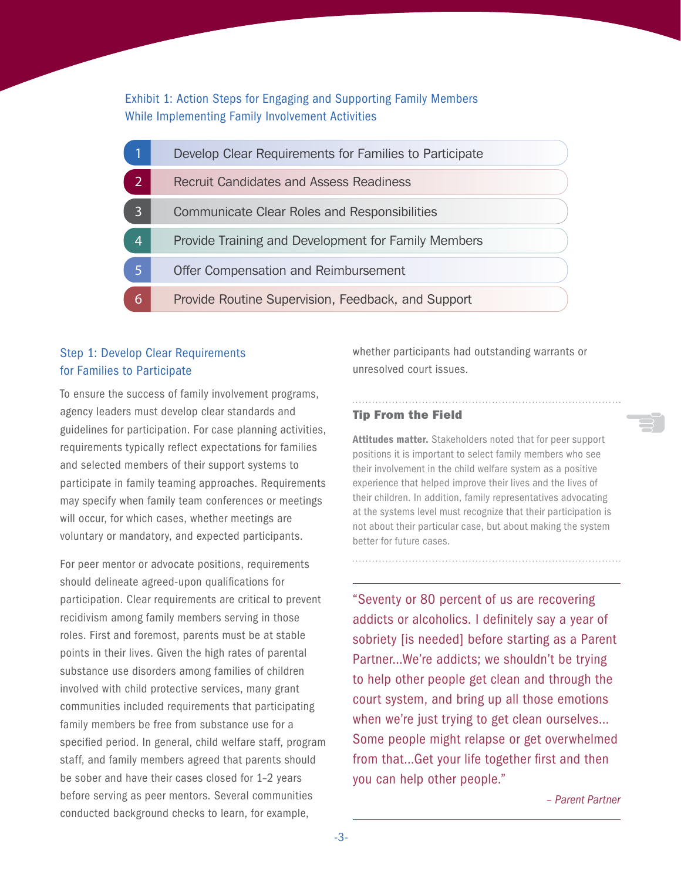Exhibit 1: Action Steps for Engaging and Supporting Family Members While Implementing Family Involvement Activities

|                | Develop Clear Requirements for Families to Participate |
|----------------|--------------------------------------------------------|
|                | <b>Recruit Candidates and Assess Readiness</b>         |
| 3              | <b>Communicate Clear Roles and Responsibilities</b>    |
| $\overline{4}$ | Provide Training and Development for Family Members    |
|                | Offer Compensation and Reimbursement                   |
| 6              | Provide Routine Supervision, Feedback, and Support     |

## Step 1: Develop Clear Requirements for Families to Participate

To ensure the success of family involvement programs, agency leaders must develop clear standards and guidelines for participation. For case planning activities, requirements typically reflect expectations for families and selected members of their support systems to participate in family teaming approaches. Requirements may specify when family team conferences or meetings will occur, for which cases, whether meetings are voluntary or mandatory, and expected participants.

For peer mentor or advocate positions, requirements should delineate agreed-upon qualifications for participation. Clear requirements are critical to prevent recidivism among family members serving in those roles. First and foremost, parents must be at stable points in their lives. Given the high rates of parental substance use disorders among families of children involved with child protective services, many grant communities included requirements that participating family members be free from substance use for a specified period. In general, child welfare staff, program staff, and family members agreed that parents should be sober and have their cases closed for 1–2 years before serving as peer mentors. Several communities conducted background checks to learn, for example,

whether participants had outstanding warrants or unresolved court issues.

#### Tip From the Field

Attitudes matter. Stakeholders noted that for peer support positions it is important to select family members who see their involvement in the child welfare system as a positive experience that helped improve their lives and the lives of their children. In addition, family representatives advocating at the systems level must recognize that their participation is not about their particular case, but about making the system better for future cases.

"Seventy or 80 percent of us are recovering addicts or alcoholics. I definitely say a year of sobriety [is needed] before starting as a Parent Partner…We're addicts; we shouldn't be trying to help other people get clean and through the court system, and bring up all those emotions when we're just trying to get clean ourselves… Some people might relapse or get overwhelmed from that…Get your life together first and then you can help other people."

*– Parent Partner*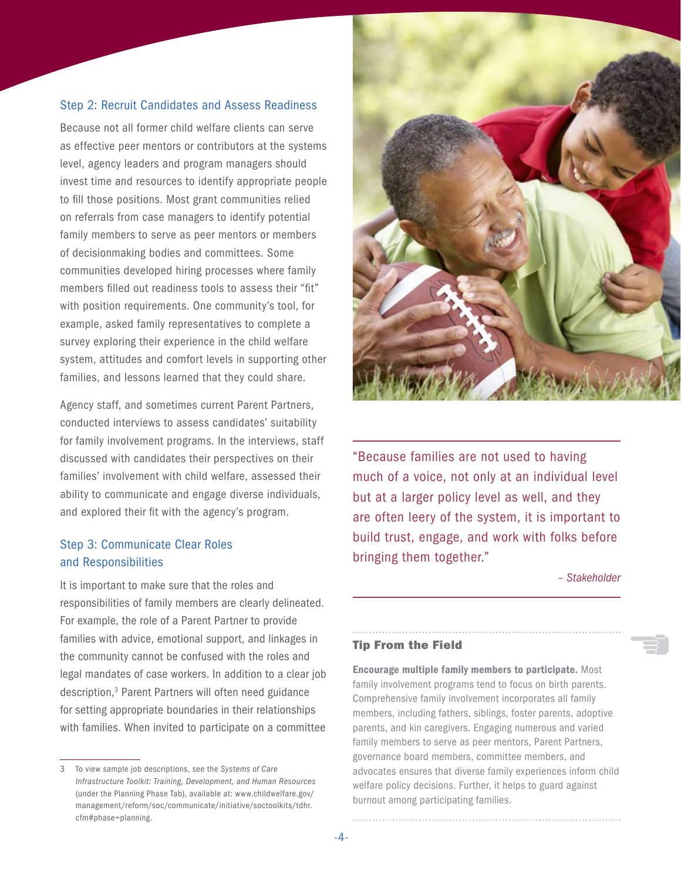#### Step 2: Recruit Candidates and Assess Readiness

Because not all former child welfare clients can serve as effective peer mentors or contributors at the systems level, agency leaders and program managers should invest time and resources to identify appropriate people to fill those positions. Most grant communities relied on referrals from case managers to identify potential family members to serve as peer mentors or members of decisionmaking bodies and committees. Some communities developed hiring processes where family members filled out readiness tools to assess their "fit" with position requirements. One community's tool, for example, asked family representatives to complete a survey exploring their experience in the child welfare system, attitudes and comfort levels in supporting other families, and lessons learned that they could share.

Agency staff, and sometimes current Parent Partners, conducted interviews to assess candidates' suitability for family involvement programs. In the interviews, staff discussed with candidates their perspectives on their families' involvement with child welfare, assessed their ability to communicate and engage diverse individuals, and explored their fit with the agency's program.

## Step 3: Communicate Clear Roles and Responsibilities

It is important to make sure that the roles and responsibilities of family members are clearly delineated. For example, the role of a Parent Partner to provide families with advice, emotional support, and linkages in the community cannot be confused with the roles and legal mandates of case workers. In addition to a clear job description,<sup>3</sup> Parent Partners will often need guidance for setting appropriate boundaries in their relationships with families. When invited to participate on a committee



"Because families are not used to having much of a voice, not only at an individual level but at a larger policy level as well, and they are often leery of the system, it is important to build trust, engage, and work with folks before bringing them together."

*– Stakeholder*

#### Tip From the Field

Encourage multiple family members to participate. Most family involvement programs tend to focus on birth parents. Comprehensive family involvement incorporates all family members, including fathers, siblings, foster parents, adoptive parents, and kin caregivers. Engaging numerous and varied family members to serve as peer mentors, Parent Partners, governance board members, committee members, and advocates ensures that diverse family experiences inform child welfare policy decisions. Further, it helps to guard against burnout among participating families.

<sup>3</sup> To view sample job descriptions, see the *Systems of Care Infrastructure Toolkit: Training, Development, and Human Resources* (under the Planning Phase Tab), available at: [www.childwelfare.gov/](www.childwelfare.gov/management/reform/soc/communicate/initiative/soctoolkits/tdhr.cfm#phase=planning) [management/reform/soc/communicate/initiative/soctoolkits/tdhr.](www.childwelfare.gov/management/reform/soc/communicate/initiative/soctoolkits/tdhr.cfm#phase=planning) [cfm#phase=planning](www.childwelfare.gov/management/reform/soc/communicate/initiative/soctoolkits/tdhr.cfm#phase=planning).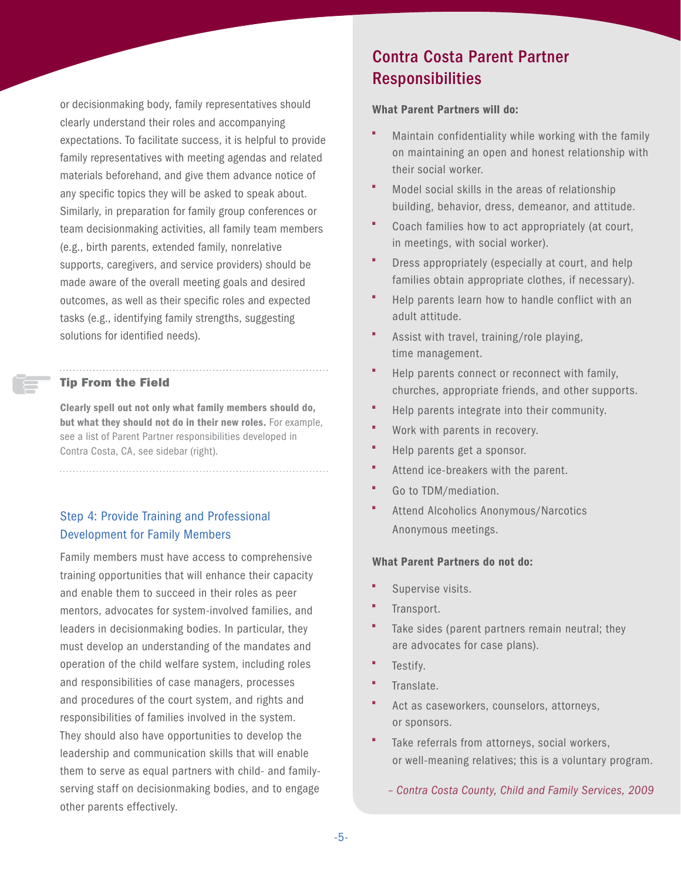or decisionmaking body, family representatives should clearly understand their roles and accompanying expectations. To facilitate success, it is helpful to provide family representatives with meeting agendas and related materials beforehand, and give them advance notice of any specific topics they will be asked to speak about. Similarly, in preparation for family group conferences or team decisionmaking activities, all family team members (e.g., birth parents, extended family, nonrelative supports, caregivers, and service providers) should be made aware of the overall meeting goals and desired outcomes, as well as their specific roles and expected tasks (e.g., identifying family strengths, suggesting solutions for identified needs).

## Tip From the Field

Clearly spell out not only what family members should do, but what they should not do in their new roles. For example, see a list of Parent Partner responsibilities developed in Contra Costa, CA, see sidebar (right).

## Step 4: Provide Training and Professional Development for Family Members

Family members must have access to comprehensive training opportunities that will enhance their capacity and enable them to succeed in their roles as peer mentors, advocates for system-involved families, and leaders in decisionmaking bodies. In particular, they must develop an understanding of the mandates and operation of the child welfare system, including roles and responsibilities of case managers, processes and procedures of the court system, and rights and responsibilities of families involved in the system. They should also have opportunities to develop the leadership and communication skills that will enable them to serve as equal partners with child- and familyserving staff on decisionmaking bodies, and to engage other parents effectively.

## Contra Costa Parent Partner Responsibilities

## What Parent Partners will do:

- Maintain confidentiality while working with the family on maintaining an open and honest relationship with their social worker.
- Model social skills in the areas of relationship building, behavior, dress, demeanor, and attitude.
- Coach families how to act appropriately (at court, in meetings, with social worker).
- Dress appropriately (especially at court, and help families obtain appropriate clothes, if necessary).
- Help parents learn how to handle conflict with an adult attitude.
- Assist with travel, training/role playing, time management.
- Help parents connect or reconnect with family, churches, appropriate friends, and other supports.
- Help parents integrate into their community.
- **•** Work with parents in recovery.
- Help parents get a sponsor.
- Attend ice-breakers with the parent.
- Go to TDM/mediation.
- Attend Alcoholics Anonymous/Narcotics Anonymous meetings.

## What Parent Partners do not do:

- Supervise visits.
- Transport.
- Take sides (parent partners remain neutral; they are advocates for case plans).
- Testify.
- Translate.
- Act as caseworkers, counselors, attorneys, or sponsors.
- Take referrals from attorneys, social workers, or well-meaning relatives; this is a voluntary program.
	- *Contra Costa County, Child and Family Services, 2009*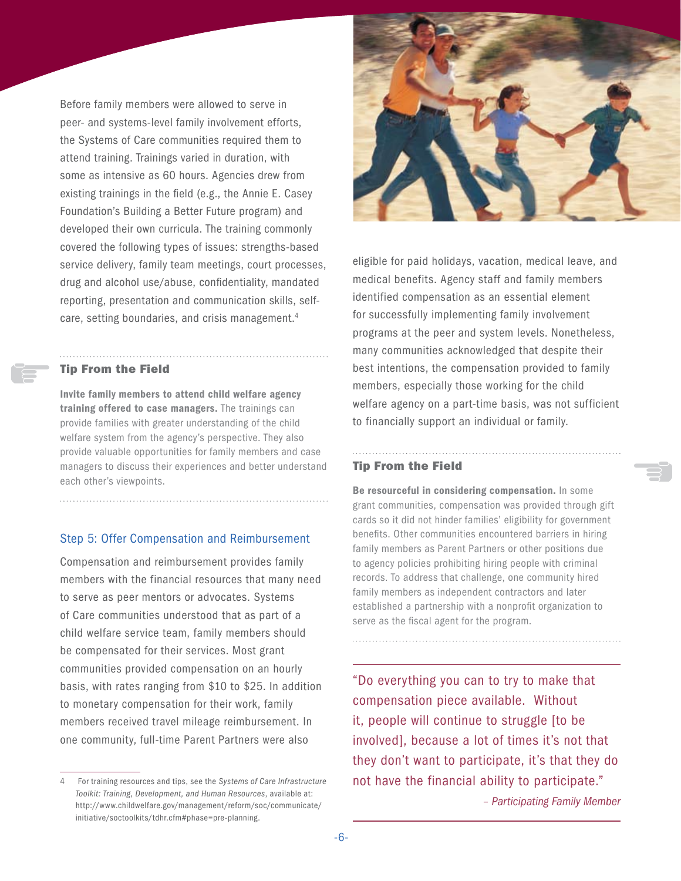Before family members were allowed to serve in peer- and systems-level family involvement efforts, the Systems of Care communities required them to attend training. Trainings varied in duration, with some as intensive as 60 hours. Agencies drew from existing trainings in the field (e.g., the Annie E. Casey Foundation's Building a Better Future program) and developed their own curricula. The training commonly covered the following types of issues: strengths-based service delivery, family team meetings, court processes, drug and alcohol use/abuse, confidentiality, mandated reporting, presentation and communication skills, selfcare, setting boundaries, and crisis management.<sup>4</sup>

#### Tip From the Field

Invite family members to attend child welfare agency training offered to case managers. The trainings can provide families with greater understanding of the child welfare system from the agency's perspective. They also provide valuable opportunities for family members and case managers to discuss their experiences and better understand each other's viewpoints.

#### Step 5: Offer Compensation and Reimbursement

Compensation and reimbursement provides family members with the financial resources that many need to serve as peer mentors or advocates. Systems of Care communities understood that as part of a child welfare service team, family members should be compensated for their services. Most grant communities provided compensation on an hourly basis, with rates ranging from \$10 to \$25. In addition to monetary compensation for their work, family members received travel mileage reimbursement. In one community, full-time Parent Partners were also



eligible for paid holidays, vacation, medical leave, and medical benefits. Agency staff and family members identified compensation as an essential element for successfully implementing family involvement programs at the peer and system levels. Nonetheless, many communities acknowledged that despite their best intentions, the compensation provided to family members, especially those working for the child welfare agency on a part-time basis, was not sufficient to financially support an individual or family.

#### Tip From the Field

Be resourceful in considering compensation. In some grant communities, compensation was provided through gift cards so it did not hinder families' eligibility for government benefits. Other communities encountered barriers in hiring family members as Parent Partners or other positions due to agency policies prohibiting hiring people with criminal records. To address that challenge, one community hired family members as independent contractors and later established a partnership with a nonprofit organization to serve as the fiscal agent for the program.

"Do everything you can to try to make that compensation piece available. Without it, people will continue to struggle [to be involved], because a lot of times it's not that they don't want to participate, it's that they do not have the financial ability to participate."

*– Participating Family Member*

<sup>4</sup> For training resources and tips, see the *Systems of Care Infrastructure Toolkit: Training, Development, and Human Resources*, available at: [http://www.childwelfare.gov/management/reform/soc/communicate/](http://www.childwelfare.gov/management/reform/soc/communicate/initiative/soctoolkits/tdhr.cfm#phase=pre-planning) [initiative/soctoolkits/tdhr.cfm#phase=pre-planning.](http://www.childwelfare.gov/management/reform/soc/communicate/initiative/soctoolkits/tdhr.cfm#phase=pre-planning)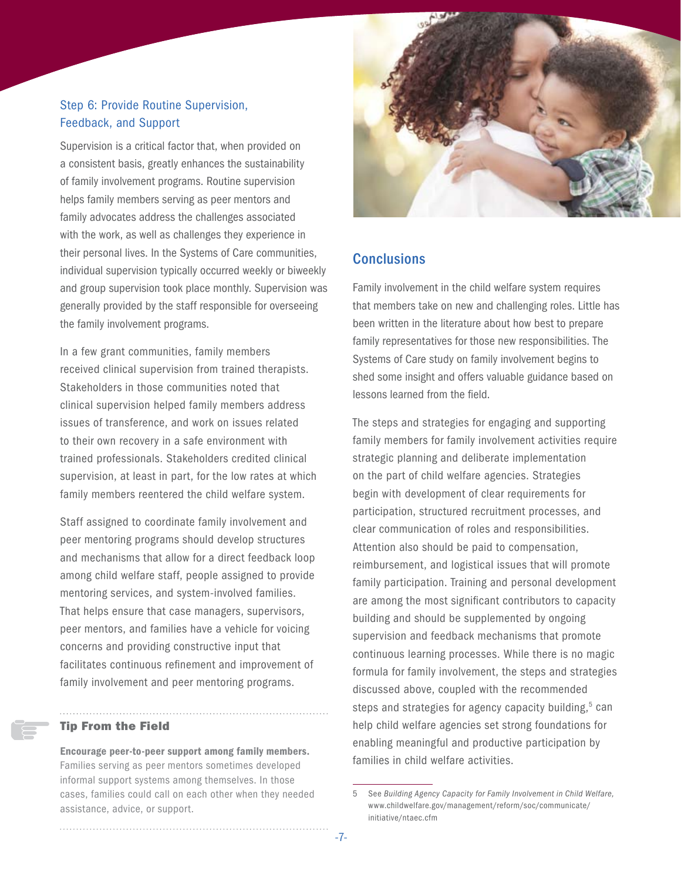## Step 6: Provide Routine Supervision, Feedback, and Support

Supervision is a critical factor that, when provided on a consistent basis, greatly enhances the sustainability of family involvement programs. Routine supervision helps family members serving as peer mentors and family advocates address the challenges associated with the work, as well as challenges they experience in their personal lives. In the Systems of Care communities, individual supervision typically occurred weekly or biweekly and group supervision took place monthly. Supervision was generally provided by the staff responsible for overseeing the family involvement programs.

In a few grant communities, family members received clinical supervision from trained therapists. Stakeholders in those communities noted that clinical supervision helped family members address issues of transference, and work on issues related to their own recovery in a safe environment with trained professionals. Stakeholders credited clinical supervision, at least in part, for the low rates at which family members reentered the child welfare system.

Staff assigned to coordinate family involvement and peer mentoring programs should develop structures and mechanisms that allow for a direct feedback loop among child welfare staff, people assigned to provide mentoring services, and system-involved families. That helps ensure that case managers, supervisors, peer mentors, and families have a vehicle for voicing concerns and providing constructive input that facilitates continuous refinement and improvement of family involvement and peer mentoring programs.

#### Tip From the Field

Encourage peer-to-peer support among family members. Families serving as peer mentors sometimes developed informal support systems among themselves. In those cases, families could call on each other when they needed assistance, advice, or support.



## **Conclusions**

Family involvement in the child welfare system requires that members take on new and challenging roles. Little has been written in the literature about how best to prepare family representatives for those new responsibilities. The Systems of Care study on family involvement begins to shed some insight and offers valuable guidance based on lessons learned from the field.

The steps and strategies for engaging and supporting family members for family involvement activities require strategic planning and deliberate implementation on the part of child welfare agencies. Strategies begin with development of clear requirements for participation, structured recruitment processes, and clear communication of roles and responsibilities. Attention also should be paid to compensation, reimbursement, and logistical issues that will promote family participation. Training and personal development are among the most significant contributors to capacity building and should be supplemented by ongoing supervision and feedback mechanisms that promote continuous learning processes. While there is no magic formula for family involvement, the steps and strategies discussed above, coupled with the recommended steps and strategies for agency capacity building,<sup>5</sup> can help child welfare agencies set strong foundations for enabling meaningful and productive participation by families in child welfare activities.

<sup>5</sup> See *Building Agency Capacity for Family Involvement in Child Welfare,*  [www.childwelfare.gov/management/reform/soc/communicate/](www.childwelfare.gov/management/reform/soc/communicate/initiative/ntaec.cfm) [initiative/ntaec.cfm](www.childwelfare.gov/management/reform/soc/communicate/initiative/ntaec.cfm)